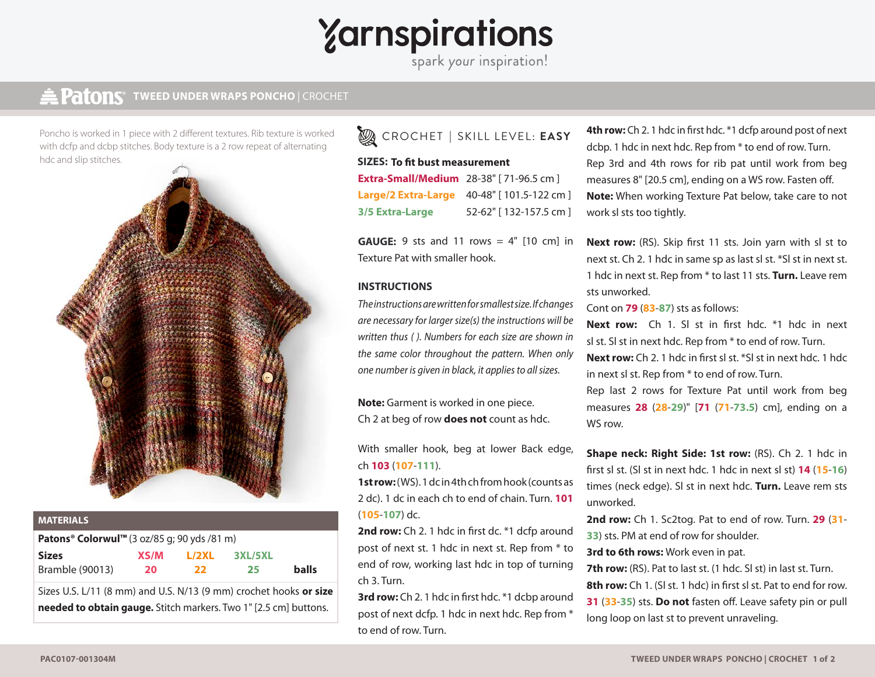# Yarnspirations

### **TWEED UNDER WRAPS PONCHO** | CROCHET **TWEED UNDER WRAPS** | CROCHET

Poncho is worked in 1 piece with 2 different textures. Rib texture is worked with dcfp and dcbp stitches. Body texture is a 2 row repeat of alternating hdc and slip stitches.



| <b>MATERIALS</b>                                                  |      |       |         |              |
|-------------------------------------------------------------------|------|-------|---------|--------------|
| Patons® Colorwul™ (3 oz/85 q; 90 yds /81 m)                       |      |       |         |              |
| <b>Sizes</b>                                                      | XS/M | L/2XL | 3XL/5XL |              |
| <b>Bramble (90013)</b>                                            | 20   | - 22  | -25     | <b>balls</b> |
| Sizes U.S. L/11 (8 mm) and U.S. N/13 (9 mm) crochet hooks or size |      |       |         |              |

**needed to obtain gauge.** Stitch markers. Two 1" [2.5 cm] buttons.

## CROCHET **|** SKILL LEVEL: **EASY**

#### **SIZES: To fit bust measurement SIZES:**

**Extra-Small/Medium** 28-38" [ 71-96.5 cm ] **Large/2 Extra-Large** 40-48" [ 101.5-122 cm ] **3/5 Extra-Large** 52-62" [ 132-157.5 cm ]

**GAUGE:** 9 sts and 11 rows = 4" [10 cm] in **GAUGE:**Texture Pat with smaller hook.

#### **INSTRUCTIONS INSTRUCTIONS**

*The instructions are written for smallest size. If changes are necessary for larger size(s) the instructions will be written thus ( ). Numbers for each size are shown in the same color throughout the pattern. When only one number is given in black, it applies to all sizes.*

**Note:** Garment is worked in one piece. Ch 2 at beg of row **does not** count as hdc.

With smaller hook, beg at lower Back edge, ch **103** (**107**-**111**).

**1st row:** (WS). 1 dc in 4th ch from hook (counts as 2 dc). 1 dc in each ch to end of chain. Turn. **101**  (**105**-**107**) dc.

2nd row: Ch 2. 1 hdc in first dc. \*1 dcfp around post of next st. 1 hdc in next st. Rep from \* to end of row, working last hdc in top of turning ch 3. Turn.

**3rd row:** Ch 2. 1 hdc in first hdc. \*1 dcbp around post of next dcfp. 1 hdc in next hdc. Rep from \* to end of row. Turn.

**4th row:** Ch 2. 1 hdc in first hdc. \*1 dcfp around post of next dcbp. 1 hdc in next hdc. Rep from \* to end of row. Turn. Rep 3rd and 4th rows for rib pat until work from beg measures 8" [20.5 cm], ending on a WS row. Fasten off. **Note:** When working Texture Pat below, take care to not work sl sts too tightly.

**Next row:** (RS). Skip first 11 sts. Join yarn with sl st to next st. Ch 2. 1 hdc in same sp as last sl st. \*Sl st in next st. 1 hdc in next st. Rep from \* to last 11 sts. **Turn.** Leave rem sts unworked.

Cont on **79** (**83**-**87**) sts as follows:

**Next row:** Ch 1. Sl st in first hdc. \*1 hdc in next sl st. Sl st in next hdc. Rep from \* to end of row. Turn. **Next row:** Ch 2. 1 hdc in first sl st. \*Sl st in next hdc. 1 hdc in next sl st. Rep from \* to end of row. Turn.

Rep last 2 rows for Texture Pat until work from beg measures **28** (**28**-**29**)" [**71** (**71**-**73.5**) cm], ending on a WS row.

**Shape neck: Right Side: 1st row:** (RS). Ch 2. 1 hdc in first sl st. (Sl st in next hdc. 1 hdc in next sl st) **14** (**15**-**16**) times (neck edge). Sl st in next hdc. **Turn.** Leave rem sts unworked.

**2nd row:** Ch 1. Sc2tog. Pat to end of row. Turn. **29** (**31**- **33**) sts. PM at end of row for shoulder.

**3rd to 6th rows:** Work even in pat.

**7th row:** (RS). Pat to last st. (1 hdc. Sl st) in last st. Turn. **8th row:** Ch 1. (SI st. 1 hdc) in first sl st. Pat to end for row. **31** (**33**-**35**) sts. **Do not** fasten off. Leave safety pin or pull long loop on last st to prevent unraveling.